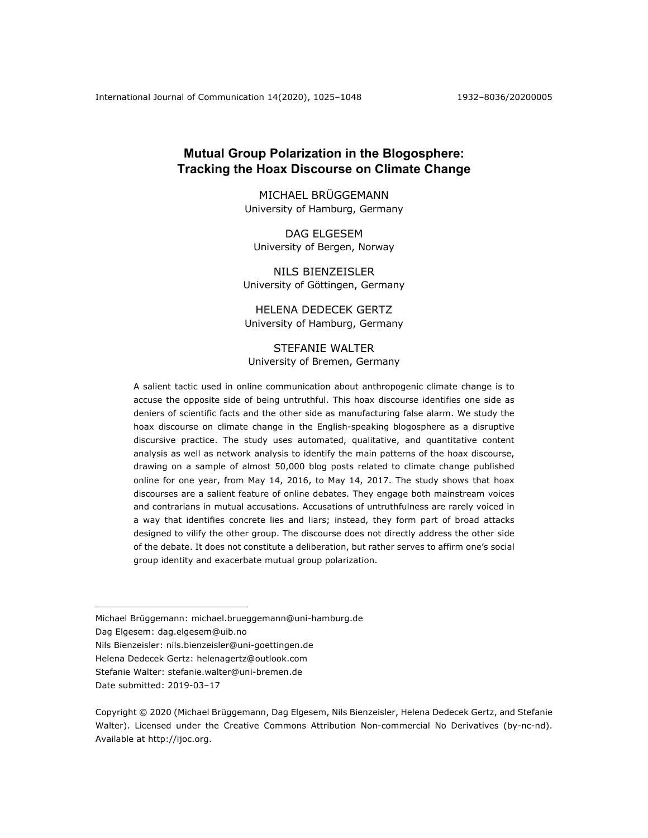# **Mutual Group Polarization in the Blogosphere: Tracking the Hoax Discourse on Climate Change**

MICHAEL BRÜGGEMANN University of Hamburg, Germany

DAG ELGESEM University of Bergen, Norway

NILS BIENZEISLER University of Göttingen, Germany

HELENA DEDECEK GERTZ University of Hamburg, Germany

STEFANIE WALTER University of Bremen, Germany

A salient tactic used in online communication about anthropogenic climate change is to accuse the opposite side of being untruthful. This hoax discourse identifies one side as deniers of scientific facts and the other side as manufacturing false alarm. We study the hoax discourse on climate change in the English-speaking blogosphere as a disruptive discursive practice. The study uses automated, qualitative, and quantitative content analysis as well as network analysis to identify the main patterns of the hoax discourse, drawing on a sample of almost 50,000 blog posts related to climate change published online for one year, from May 14, 2016, to May 14, 2017. The study shows that hoax discourses are a salient feature of online debates. They engage both mainstream voices and contrarians in mutual accusations. Accusations of untruthfulness are rarely voiced in a way that identifies concrete lies and liars; instead, they form part of broad attacks designed to vilify the other group. The discourse does not directly address the other side of the debate. It does not constitute a deliberation, but rather serves to affirm one's social group identity and exacerbate mutual group polarization.

Dag Elgesem: dag.elgesem@uib.no

Nils Bienzeisler: nils.bienzeisler@uni-goettingen.de

Helena Dedecek Gertz: helenagertz@outlook.com

Stefanie Walter: stefanie.walter@uni-bremen.de

Michael Brüggemann: michael.brueggemann@uni-hamburg.de

Date submitted: 2019-03-17

Copyright © 2020 (Michael Brüggemann, Dag Elgesem, Nils Bienzeisler, Helena Dedecek Gertz, and Stefanie Walter). Licensed under the Creative Commons Attribution Non-commercial No Derivatives (by-nc-nd). Available at http://ijoc.org.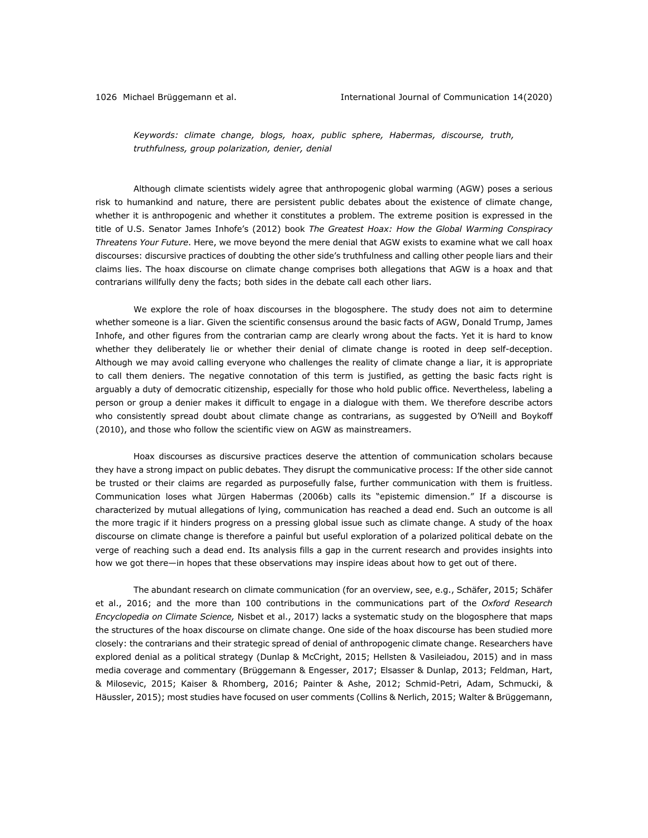*Keywords: climate change, blogs, hoax, public sphere, Habermas, discourse, truth, truthfulness, group polarization, denier, denial*

Although climate scientists widely agree that anthropogenic global warming (AGW) poses a serious risk to humankind and nature, there are persistent public debates about the existence of climate change, whether it is anthropogenic and whether it constitutes a problem. The extreme position is expressed in the title of U.S. Senator James Inhofe's (2012) book *The Greatest Hoax: How the Global Warming Conspiracy Threatens Your Future*. Here, we move beyond the mere denial that AGW exists to examine what we call hoax discourses: discursive practices of doubting the other side's truthfulness and calling other people liars and their claims lies. The hoax discourse on climate change comprises both allegations that AGW is a hoax and that contrarians willfully deny the facts; both sides in the debate call each other liars.

We explore the role of hoax discourses in the blogosphere. The study does not aim to determine whether someone is a liar. Given the scientific consensus around the basic facts of AGW, Donald Trump, James Inhofe, and other figures from the contrarian camp are clearly wrong about the facts. Yet it is hard to know whether they deliberately lie or whether their denial of climate change is rooted in deep self-deception. Although we may avoid calling everyone who challenges the reality of climate change a liar, it is appropriate to call them deniers. The negative connotation of this term is justified, as getting the basic facts right is arguably a duty of democratic citizenship, especially for those who hold public office. Nevertheless, labeling a person or group a denier makes it difficult to engage in a dialogue with them. We therefore describe actors who consistently spread doubt about climate change as contrarians, as suggested by O'Neill and Boykoff (2010), and those who follow the scientific view on AGW as mainstreamers.

Hoax discourses as discursive practices deserve the attention of communication scholars because they have a strong impact on public debates. They disrupt the communicative process: If the other side cannot be trusted or their claims are regarded as purposefully false, further communication with them is fruitless. Communication loses what Jürgen Habermas (2006b) calls its "epistemic dimension." If a discourse is characterized by mutual allegations of lying, communication has reached a dead end. Such an outcome is all the more tragic if it hinders progress on a pressing global issue such as climate change. A study of the hoax discourse on climate change is therefore a painful but useful exploration of a polarized political debate on the verge of reaching such a dead end. Its analysis fills a gap in the current research and provides insights into how we got there—in hopes that these observations may inspire ideas about how to get out of there.

The abundant research on climate communication (for an overview, see, e.g., Schäfer, 2015; Schäfer et al., 2016; and the more than 100 contributions in the communications part of the *Oxford Research Encyclopedia on Climate Science,* Nisbet et al., 2017) lacks a systematic study on the blogosphere that maps the structures of the hoax discourse on climate change. One side of the hoax discourse has been studied more closely: the contrarians and their strategic spread of denial of anthropogenic climate change. Researchers have explored denial as a political strategy (Dunlap & McCright, 2015; Hellsten & Vasileiadou, 2015) and in mass media coverage and commentary (Brüggemann & Engesser, 2017; Elsasser & Dunlap, 2013; Feldman, Hart, & Milosevic, 2015; Kaiser & Rhomberg, 2016; Painter & Ashe, 2012; Schmid-Petri, Adam, Schmucki, & Häussler, 2015); most studies have focused on user comments (Collins & Nerlich, 2015; Walter & Brüggemann,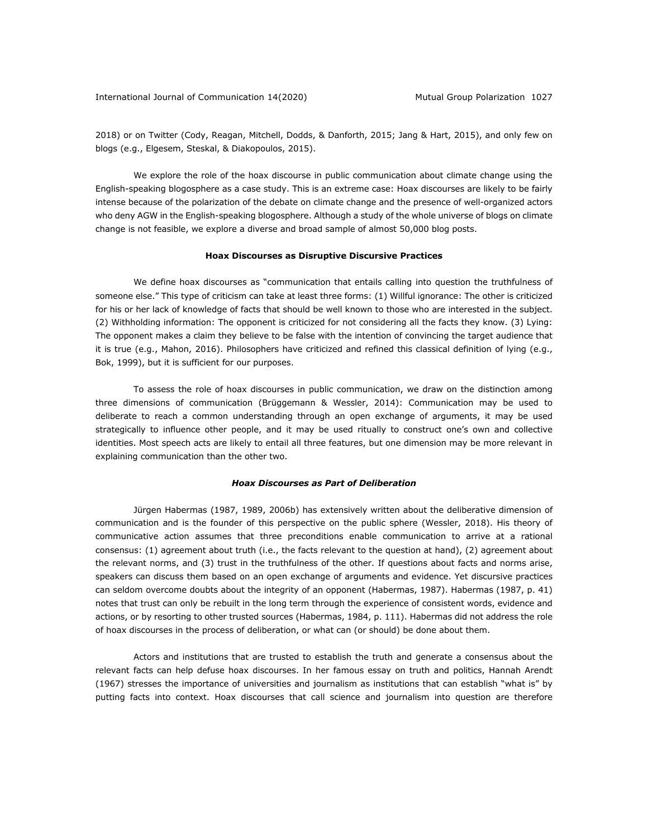2018) or on Twitter (Cody, Reagan, Mitchell, Dodds, & Danforth, 2015; Jang & Hart, 2015), and only few on blogs (e.g., Elgesem, Steskal, & Diakopoulos, 2015).

We explore the role of the hoax discourse in public communication about climate change using the English-speaking blogosphere as a case study. This is an extreme case: Hoax discourses are likely to be fairly intense because of the polarization of the debate on climate change and the presence of well-organized actors who deny AGW in the English-speaking blogosphere. Although a study of the whole universe of blogs on climate change is not feasible, we explore a diverse and broad sample of almost 50,000 blog posts.

#### **Hoax Discourses as Disruptive Discursive Practices**

We define hoax discourses as "communication that entails calling into question the truthfulness of someone else." This type of criticism can take at least three forms: (1) Willful ignorance: The other is criticized for his or her lack of knowledge of facts that should be well known to those who are interested in the subject. (2) Withholding information: The opponent is criticized for not considering all the facts they know. (3) Lying: The opponent makes a claim they believe to be false with the intention of convincing the target audience that it is true (e.g., Mahon, 2016). Philosophers have criticized and refined this classical definition of lying (e.g., Bok, 1999), but it is sufficient for our purposes.

To assess the role of hoax discourses in public communication, we draw on the distinction among three dimensions of communication (Brüggemann & Wessler, 2014): Communication may be used to deliberate to reach a common understanding through an open exchange of arguments, it may be used strategically to influence other people, and it may be used ritually to construct one's own and collective identities. Most speech acts are likely to entail all three features, but one dimension may be more relevant in explaining communication than the other two.

#### *Hoax Discourses as Part of Deliberation*

Jürgen Habermas (1987, 1989, 2006b) has extensively written about the deliberative dimension of communication and is the founder of this perspective on the public sphere (Wessler, 2018). His theory of communicative action assumes that three preconditions enable communication to arrive at a rational consensus: (1) agreement about truth (i.e., the facts relevant to the question at hand), (2) agreement about the relevant norms, and (3) trust in the truthfulness of the other. If questions about facts and norms arise, speakers can discuss them based on an open exchange of arguments and evidence. Yet discursive practices can seldom overcome doubts about the integrity of an opponent (Habermas, 1987). Habermas (1987, p. 41) notes that trust can only be rebuilt in the long term through the experience of consistent words, evidence and actions, or by resorting to other trusted sources (Habermas, 1984, p. 111). Habermas did not address the role of hoax discourses in the process of deliberation, or what can (or should) be done about them.

Actors and institutions that are trusted to establish the truth and generate a consensus about the relevant facts can help defuse hoax discourses. In her famous essay on truth and politics, Hannah Arendt (1967) stresses the importance of universities and journalism as institutions that can establish "what is" by putting facts into context. Hoax discourses that call science and journalism into question are therefore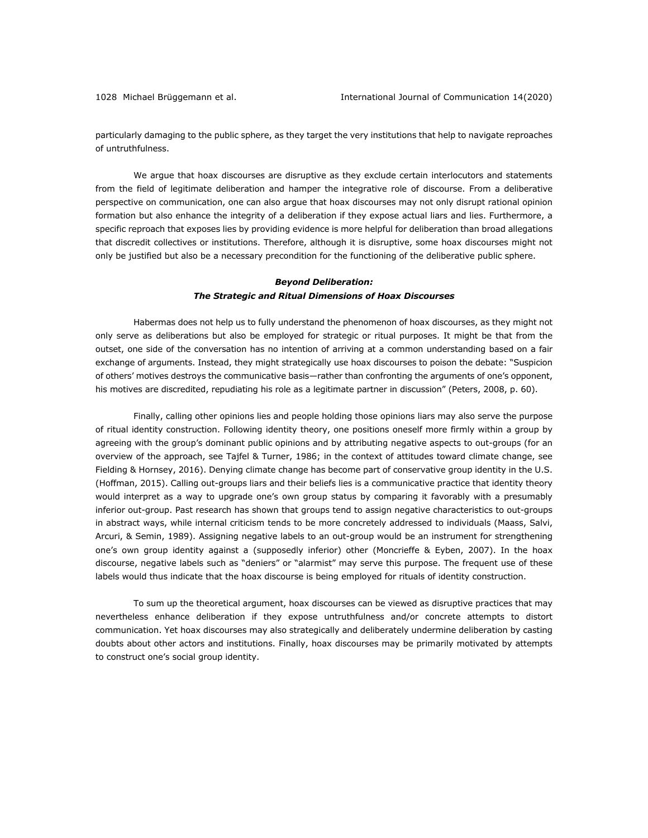particularly damaging to the public sphere, as they target the very institutions that help to navigate reproaches of untruthfulness.

We argue that hoax discourses are disruptive as they exclude certain interlocutors and statements from the field of legitimate deliberation and hamper the integrative role of discourse. From a deliberative perspective on communication, one can also argue that hoax discourses may not only disrupt rational opinion formation but also enhance the integrity of a deliberation if they expose actual liars and lies. Furthermore, a specific reproach that exposes lies by providing evidence is more helpful for deliberation than broad allegations that discredit collectives or institutions. Therefore, although it is disruptive, some hoax discourses might not only be justified but also be a necessary precondition for the functioning of the deliberative public sphere.

# *Beyond Deliberation: The Strategic and Ritual Dimensions of Hoax Discourses*

Habermas does not help us to fully understand the phenomenon of hoax discourses, as they might not only serve as deliberations but also be employed for strategic or ritual purposes. It might be that from the outset, one side of the conversation has no intention of arriving at a common understanding based on a fair exchange of arguments. Instead, they might strategically use hoax discourses to poison the debate: "Suspicion of others' motives destroys the communicative basis—rather than confronting the arguments of one's opponent, his motives are discredited, repudiating his role as a legitimate partner in discussion" (Peters, 2008, p. 60).

Finally, calling other opinions lies and people holding those opinions liars may also serve the purpose of ritual identity construction. Following identity theory, one positions oneself more firmly within a group by agreeing with the group's dominant public opinions and by attributing negative aspects to out-groups (for an overview of the approach, see Tajfel & Turner, 1986; in the context of attitudes toward climate change, see Fielding & Hornsey, 2016). Denying climate change has become part of conservative group identity in the U.S. (Hoffman, 2015). Calling out-groups liars and their beliefs lies is a communicative practice that identity theory would interpret as a way to upgrade one's own group status by comparing it favorably with a presumably inferior out-group. Past research has shown that groups tend to assign negative characteristics to out-groups in abstract ways, while internal criticism tends to be more concretely addressed to individuals (Maass, Salvi, Arcuri, & Semin, 1989). Assigning negative labels to an out-group would be an instrument for strengthening one's own group identity against a (supposedly inferior) other (Moncrieffe & Eyben, 2007). In the hoax discourse, negative labels such as "deniers" or "alarmist" may serve this purpose. The frequent use of these labels would thus indicate that the hoax discourse is being employed for rituals of identity construction.

To sum up the theoretical argument, hoax discourses can be viewed as disruptive practices that may nevertheless enhance deliberation if they expose untruthfulness and/or concrete attempts to distort communication. Yet hoax discourses may also strategically and deliberately undermine deliberation by casting doubts about other actors and institutions. Finally, hoax discourses may be primarily motivated by attempts to construct one's social group identity.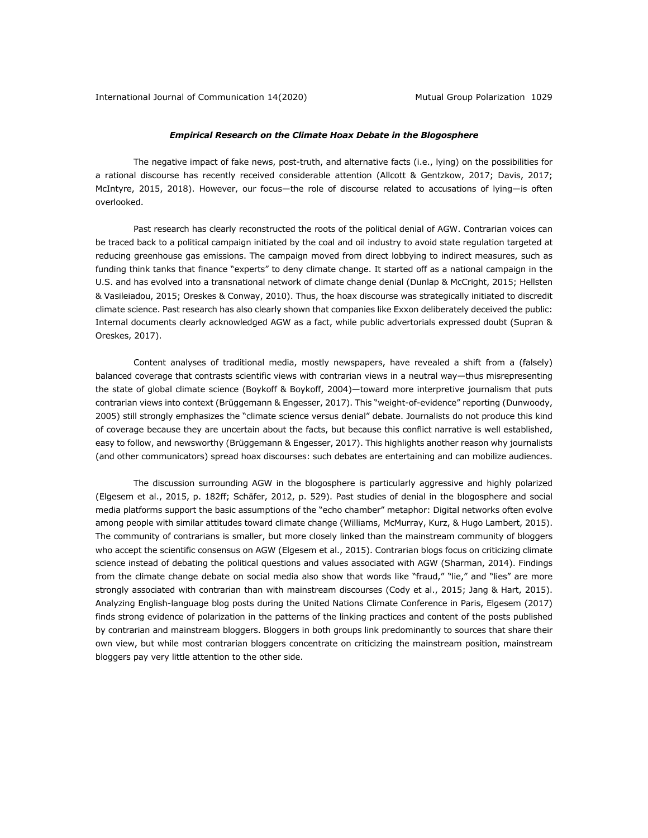## *Empirical Research on the Climate Hoax Debate in the Blogosphere*

The negative impact of fake news, post-truth, and alternative facts (i.e., lying) on the possibilities for a rational discourse has recently received considerable attention (Allcott & Gentzkow, 2017; Davis, 2017; McIntyre, 2015, 2018). However, our focus—the role of discourse related to accusations of lying—is often overlooked.

Past research has clearly reconstructed the roots of the political denial of AGW. Contrarian voices can be traced back to a political campaign initiated by the coal and oil industry to avoid state regulation targeted at reducing greenhouse gas emissions. The campaign moved from direct lobbying to indirect measures, such as funding think tanks that finance "experts" to deny climate change. It started off as a national campaign in the U.S. and has evolved into a transnational network of climate change denial (Dunlap & McCright, 2015; Hellsten & Vasileiadou, 2015; Oreskes & Conway, 2010). Thus, the hoax discourse was strategically initiated to discredit climate science. Past research has also clearly shown that companies like Exxon deliberately deceived the public: Internal documents clearly acknowledged AGW as a fact, while public advertorials expressed doubt (Supran & Oreskes, 2017).

Content analyses of traditional media, mostly newspapers, have revealed a shift from a (falsely) balanced coverage that contrasts scientific views with contrarian views in a neutral way—thus misrepresenting the state of global climate science (Boykoff & Boykoff, 2004)—toward more interpretive journalism that puts contrarian views into context (Brüggemann & Engesser, 2017). This "weight-of-evidence" reporting (Dunwoody, 2005) still strongly emphasizes the "climate science versus denial" debate. Journalists do not produce this kind of coverage because they are uncertain about the facts, but because this conflict narrative is well established, easy to follow, and newsworthy (Brüggemann & Engesser, 2017). This highlights another reason why journalists (and other communicators) spread hoax discourses: such debates are entertaining and can mobilize audiences.

The discussion surrounding AGW in the blogosphere is particularly aggressive and highly polarized (Elgesem et al., 2015, p. 182ff; Schäfer, 2012, p. 529). Past studies of denial in the blogosphere and social media platforms support the basic assumptions of the "echo chamber" metaphor: Digital networks often evolve among people with similar attitudes toward climate change (Williams, McMurray, Kurz, & Hugo Lambert, 2015). The community of contrarians is smaller, but more closely linked than the mainstream community of bloggers who accept the scientific consensus on AGW (Elgesem et al., 2015). Contrarian blogs focus on criticizing climate science instead of debating the political questions and values associated with AGW (Sharman, 2014). Findings from the climate change debate on social media also show that words like "fraud," "lie," and "lies" are more strongly associated with contrarian than with mainstream discourses (Cody et al., 2015; Jang & Hart, 2015). Analyzing English-language blog posts during the United Nations Climate Conference in Paris, Elgesem (2017) finds strong evidence of polarization in the patterns of the linking practices and content of the posts published by contrarian and mainstream bloggers. Bloggers in both groups link predominantly to sources that share their own view, but while most contrarian bloggers concentrate on criticizing the mainstream position, mainstream bloggers pay very little attention to the other side.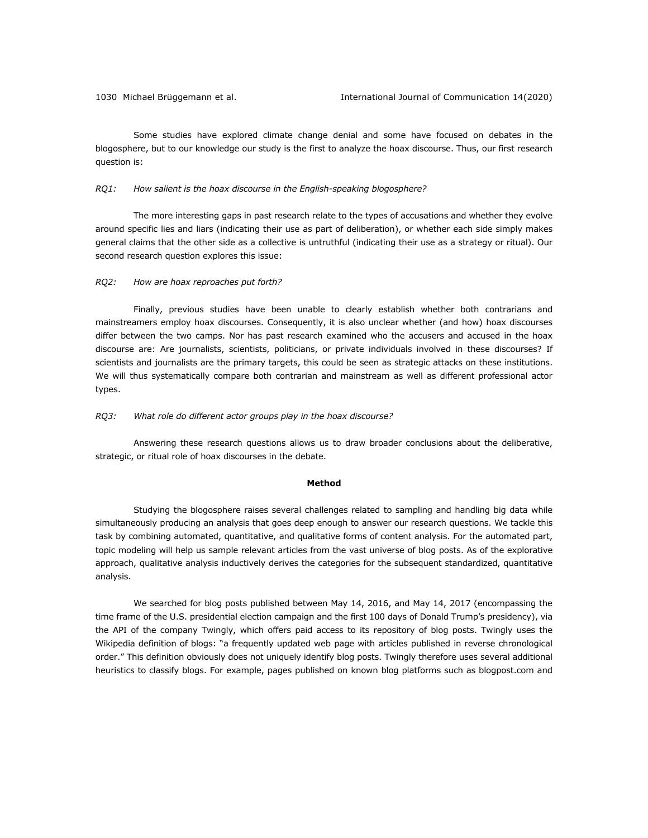Some studies have explored climate change denial and some have focused on debates in the blogosphere, but to our knowledge our study is the first to analyze the hoax discourse. Thus, our first research question is:

#### *RQ1: How salient is the hoax discourse in the English-speaking blogosphere?*

The more interesting gaps in past research relate to the types of accusations and whether they evolve around specific lies and liars (indicating their use as part of deliberation), or whether each side simply makes general claims that the other side as a collective is untruthful (indicating their use as a strategy or ritual). Our second research question explores this issue:

## *RQ2: How are hoax reproaches put forth?*

Finally, previous studies have been unable to clearly establish whether both contrarians and mainstreamers employ hoax discourses. Consequently, it is also unclear whether (and how) hoax discourses differ between the two camps. Nor has past research examined who the accusers and accused in the hoax discourse are: Are journalists, scientists, politicians, or private individuals involved in these discourses? If scientists and journalists are the primary targets, this could be seen as strategic attacks on these institutions. We will thus systematically compare both contrarian and mainstream as well as different professional actor types.

## *RQ3: What role do different actor groups play in the hoax discourse?*

Answering these research questions allows us to draw broader conclusions about the deliberative, strategic, or ritual role of hoax discourses in the debate.

#### **Method**

Studying the blogosphere raises several challenges related to sampling and handling big data while simultaneously producing an analysis that goes deep enough to answer our research questions. We tackle this task by combining automated, quantitative, and qualitative forms of content analysis. For the automated part, topic modeling will help us sample relevant articles from the vast universe of blog posts. As of the explorative approach, qualitative analysis inductively derives the categories for the subsequent standardized, quantitative analysis.

We searched for blog posts published between May 14, 2016, and May 14, 2017 (encompassing the time frame of the U.S. presidential election campaign and the first 100 days of Donald Trump's presidency), via the API of the company Twingly, which offers paid access to its repository of blog posts. Twingly uses the Wikipedia definition of blogs: "a frequently updated web page with articles published in reverse chronological order." This definition obviously does not uniquely identify blog posts. Twingly therefore uses several additional heuristics to classify blogs. For example, pages published on known blog platforms such as blogpost.com and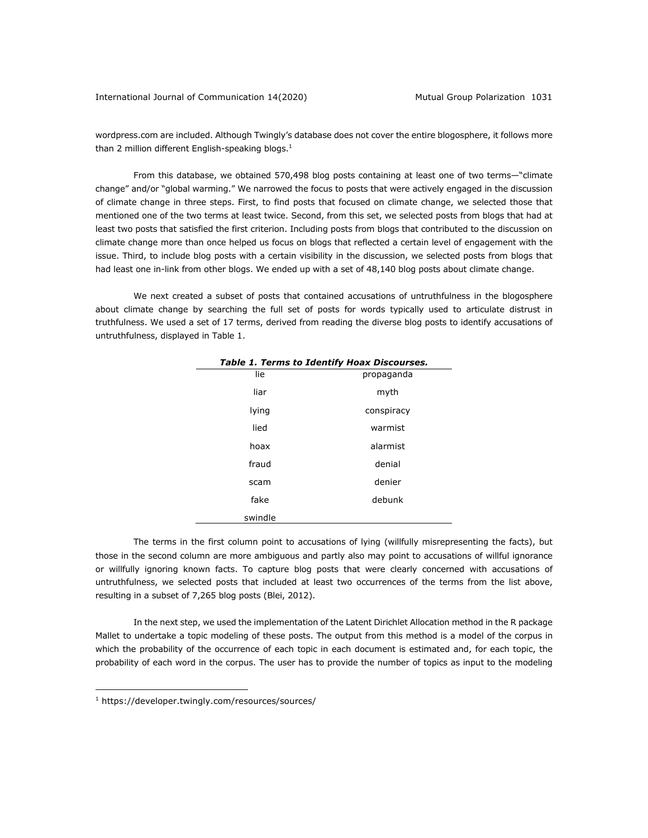wordpress.com are included. Although Twingly's database does not cover the entire blogosphere, it follows more than 2 million different English-speaking blogs. $<sup>1</sup>$ </sup>

From this database, we obtained 570,498 blog posts containing at least one of two terms—"climate change" and/or "global warming." We narrowed the focus to posts that were actively engaged in the discussion of climate change in three steps. First, to find posts that focused on climate change, we selected those that mentioned one of the two terms at least twice. Second, from this set, we selected posts from blogs that had at least two posts that satisfied the first criterion. Including posts from blogs that contributed to the discussion on climate change more than once helped us focus on blogs that reflected a certain level of engagement with the issue. Third, to include blog posts with a certain visibility in the discussion, we selected posts from blogs that had least one in-link from other blogs. We ended up with a set of 48,140 blog posts about climate change.

We next created a subset of posts that contained accusations of untruthfulness in the blogosphere about climate change by searching the full set of posts for words typically used to articulate distrust in truthfulness. We used a set of 17 terms, derived from reading the diverse blog posts to identify accusations of untruthfulness, displayed in Table 1.

| Table 1. Terms to Identify Hoax Discourses. |            |  |
|---------------------------------------------|------------|--|
| lie                                         | propaganda |  |
| liar                                        | myth       |  |
| lying                                       | conspiracy |  |
| lied                                        | warmist    |  |
| hoax                                        | alarmist   |  |
| fraud                                       | denial     |  |
| scam                                        | denier     |  |
| fake                                        | debunk     |  |
| swindle                                     |            |  |

The terms in the first column point to accusations of lying (willfully misrepresenting the facts), but those in the second column are more ambiguous and partly also may point to accusations of willful ignorance or willfully ignoring known facts. To capture blog posts that were clearly concerned with accusations of untruthfulness, we selected posts that included at least two occurrences of the terms from the list above, resulting in a subset of 7,265 blog posts (Blei, 2012).

In the next step, we used the implementation of the Latent Dirichlet Allocation method in the R package Mallet to undertake a topic modeling of these posts. The output from this method is a model of the corpus in which the probability of the occurrence of each topic in each document is estimated and, for each topic, the probability of each word in the corpus. The user has to provide the number of topics as input to the modeling

<sup>1</sup> https://developer.twingly.com/resources/sources/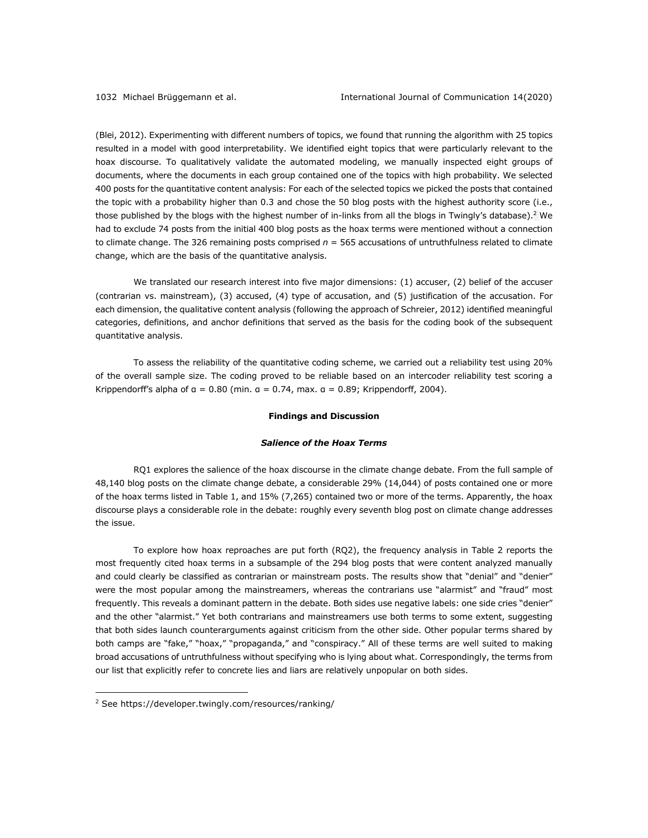(Blei, 2012). Experimenting with different numbers of topics, we found that running the algorithm with 25 topics resulted in a model with good interpretability. We identified eight topics that were particularly relevant to the hoax discourse. To qualitatively validate the automated modeling, we manually inspected eight groups of documents, where the documents in each group contained one of the topics with high probability. We selected 400 posts for the quantitative content analysis: For each of the selected topics we picked the posts that contained the topic with a probability higher than 0.3 and chose the 50 blog posts with the highest authority score (i.e., those published by the blogs with the highest number of in-links from all the blogs in Twingly's database).<sup>2</sup> We had to exclude 74 posts from the initial 400 blog posts as the hoax terms were mentioned without a connection to climate change. The 326 remaining posts comprised *n* = 565 accusations of untruthfulness related to climate change, which are the basis of the quantitative analysis.

We translated our research interest into five major dimensions: (1) accuser, (2) belief of the accuser (contrarian vs. mainstream), (3) accused, (4) type of accusation, and (5) justification of the accusation. For each dimension, the qualitative content analysis (following the approach of Schreier, 2012) identified meaningful categories, definitions, and anchor definitions that served as the basis for the coding book of the subsequent quantitative analysis.

To assess the reliability of the quantitative coding scheme, we carried out a reliability test using 20% of the overall sample size. The coding proved to be reliable based on an intercoder reliability test scoring a Krippendorff's alpha of  $a = 0.80$  (min.  $a = 0.74$ , max.  $a = 0.89$ ; Krippendorff, 2004).

#### **Findings and Discussion**

## *Salience of the Hoax Terms*

RQ1 explores the salience of the hoax discourse in the climate change debate. From the full sample of 48,140 blog posts on the climate change debate, a considerable 29% (14,044) of posts contained one or more of the hoax terms listed in Table 1, and 15% (7,265) contained two or more of the terms. Apparently, the hoax discourse plays a considerable role in the debate: roughly every seventh blog post on climate change addresses the issue.

To explore how hoax reproaches are put forth (RQ2), the frequency analysis in Table 2 reports the most frequently cited hoax terms in a subsample of the 294 blog posts that were content analyzed manually and could clearly be classified as contrarian or mainstream posts. The results show that "denial" and "denier" were the most popular among the mainstreamers, whereas the contrarians use "alarmist" and "fraud" most frequently. This reveals a dominant pattern in the debate. Both sides use negative labels: one side cries "denier" and the other "alarmist." Yet both contrarians and mainstreamers use both terms to some extent, suggesting that both sides launch counterarguments against criticism from the other side. Other popular terms shared by both camps are "fake," "hoax," "propaganda," and "conspiracy." All of these terms are well suited to making broad accusations of untruthfulness without specifying who is lying about what. Correspondingly, the terms from our list that explicitly refer to concrete lies and liars are relatively unpopular on both sides.

<sup>&</sup>lt;sup>2</sup> See https://developer.twingly.com/resources/ranking/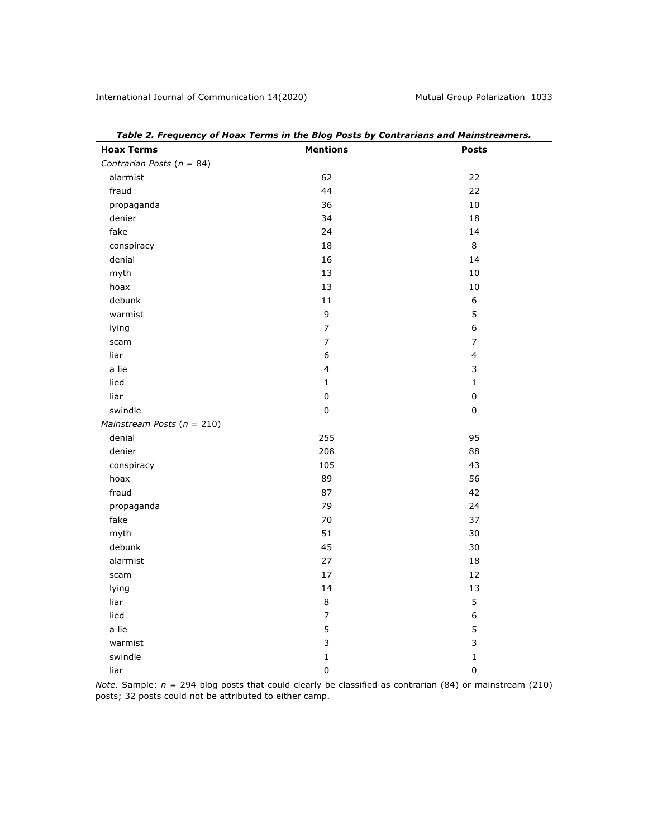| <b>Hoax Terms</b>              | <b>Mentions</b>         | <b>Posts</b>     |
|--------------------------------|-------------------------|------------------|
| Contrarian Posts ( $n = 84$ )  |                         |                  |
| alarmist                       | 62                      | 22               |
| fraud                          | 44                      | 22               |
| propaganda                     | 36                      | 10               |
| denier                         | 34                      | 18               |
| fake                           | 24                      | 14               |
| conspiracy                     | 18                      | 8                |
| denial                         | 16                      | 14               |
| myth                           | 13                      | $10\,$           |
| hoax                           | 13                      | $10$             |
| debunk                         | 11                      | $\boldsymbol{6}$ |
| warmist                        | 9                       | 5                |
| lying                          | $\overline{7}$          | 6                |
| scam                           | $\overline{7}$          | $\overline{7}$   |
| liar                           | $\boldsymbol{6}$        | $\overline{4}$   |
| a lie                          | $\overline{\mathbf{4}}$ | 3                |
| lied                           | $\mathbf{1}$            | $\mathbf{1}$     |
| liar                           | $\mathbf 0$             | $\mathsf 0$      |
| swindle                        | $\mathbf 0$             | 0                |
| Mainstream Posts ( $n = 210$ ) |                         |                  |
| denial                         | 255                     | 95               |
| denier                         | 208                     | 88               |
| conspiracy                     | 105                     | 43               |
| hoax                           | 89                      | 56               |
| fraud                          | 87                      | 42               |
| propaganda                     | 79                      | 24               |
| fake                           | 70                      | 37               |
| myth                           | 51                      | 30               |
| debunk                         | 45                      | 30               |
| alarmist                       | 27                      | 18               |
| scam                           | 17                      | 12               |
| lying                          | 14                      | 13               |
| liar                           | $\,8\,$                 | 5                |
| lied                           | $\overline{7}$          | 6                |
| a lie                          | 5                       | 5                |
| warmist                        | 3                       | 3                |
| swindle                        | $\mathbf 1$             | $\mathbf 1$      |
| liar                           | 0                       | $\mathsf 0$      |

*Table 2. Frequency of Hoax Terms in the Blog Posts by Contrarians and Mainstreamers.*

*Note*. Sample:  $n = 294$  blog posts that could clearly be classified as contrarian (84) or mainstream (210) posts; 32 posts could not be attributed to either camp.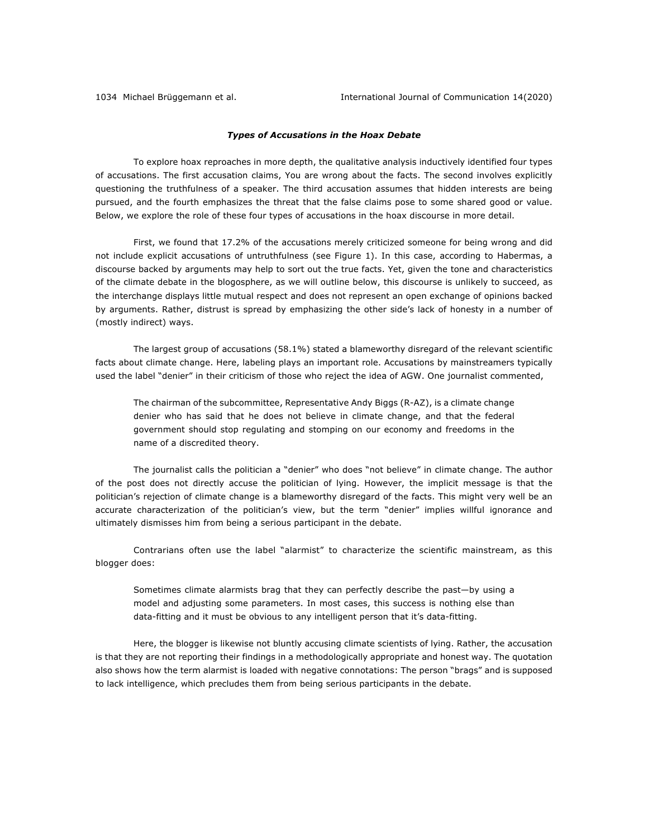## *Types of Accusations in the Hoax Debate*

To explore hoax reproaches in more depth, the qualitative analysis inductively identified four types of accusations. The first accusation claims, You are wrong about the facts. The second involves explicitly questioning the truthfulness of a speaker. The third accusation assumes that hidden interests are being pursued, and the fourth emphasizes the threat that the false claims pose to some shared good or value. Below, we explore the role of these four types of accusations in the hoax discourse in more detail.

First, we found that 17.2% of the accusations merely criticized someone for being wrong and did not include explicit accusations of untruthfulness (see Figure 1). In this case, according to Habermas, a discourse backed by arguments may help to sort out the true facts. Yet, given the tone and characteristics of the climate debate in the blogosphere, as we will outline below, this discourse is unlikely to succeed, as the interchange displays little mutual respect and does not represent an open exchange of opinions backed by arguments. Rather, distrust is spread by emphasizing the other side's lack of honesty in a number of (mostly indirect) ways.

The largest group of accusations (58.1%) stated a blameworthy disregard of the relevant scientific facts about climate change. Here, labeling plays an important role. Accusations by mainstreamers typically used the label "denier" in their criticism of those who reject the idea of AGW. One journalist commented,

The chairman of the subcommittee, Representative Andy Biggs (R-AZ), is a climate change denier who has said that he does not believe in climate change, and that the federal government should stop regulating and stomping on our economy and freedoms in the name of a discredited theory.

The journalist calls the politician a "denier" who does "not believe" in climate change. The author of the post does not directly accuse the politician of lying. However, the implicit message is that the politician's rejection of climate change is a blameworthy disregard of the facts. This might very well be an accurate characterization of the politician's view, but the term "denier" implies willful ignorance and ultimately dismisses him from being a serious participant in the debate.

Contrarians often use the label "alarmist" to characterize the scientific mainstream, as this blogger does:

Sometimes climate alarmists brag that they can perfectly describe the past—by using a model and adjusting some parameters. In most cases, this success is nothing else than data-fitting and it must be obvious to any intelligent person that it's data-fitting.

Here, the blogger is likewise not bluntly accusing climate scientists of lying. Rather, the accusation is that they are not reporting their findings in a methodologically appropriate and honest way. The quotation also shows how the term alarmist is loaded with negative connotations: The person "brags" and is supposed to lack intelligence, which precludes them from being serious participants in the debate.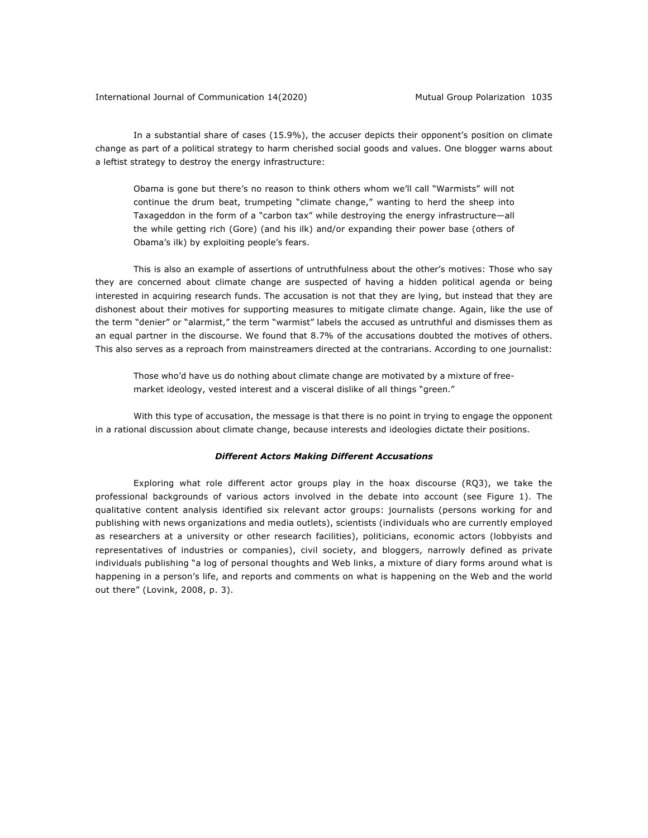In a substantial share of cases (15.9%), the accuser depicts their opponent's position on climate change as part of a political strategy to harm cherished social goods and values. One blogger warns about a leftist strategy to destroy the energy infrastructure:

Obama is gone but there's no reason to think others whom we'll call "Warmists" will not continue the drum beat, trumpeting "climate change," wanting to herd the sheep into Taxageddon in the form of a "carbon tax" while destroying the energy infrastructure—all the while getting rich (Gore) (and his ilk) and/or expanding their power base (others of Obama's ilk) by exploiting people's fears.

This is also an example of assertions of untruthfulness about the other's motives: Those who say they are concerned about climate change are suspected of having a hidden political agenda or being interested in acquiring research funds. The accusation is not that they are lying, but instead that they are dishonest about their motives for supporting measures to mitigate climate change. Again, like the use of the term "denier" or "alarmist," the term "warmist" labels the accused as untruthful and dismisses them as an equal partner in the discourse. We found that 8.7% of the accusations doubted the motives of others. This also serves as a reproach from mainstreamers directed at the contrarians. According to one journalist:

Those who'd have us do nothing about climate change are motivated by a mixture of freemarket ideology, vested interest and a visceral dislike of all things "green."

With this type of accusation, the message is that there is no point in trying to engage the opponent in a rational discussion about climate change, because interests and ideologies dictate their positions.

### *Different Actors Making Different Accusations*

Exploring what role different actor groups play in the hoax discourse (RQ3), we take the professional backgrounds of various actors involved in the debate into account (see Figure 1). The qualitative content analysis identified six relevant actor groups: journalists (persons working for and publishing with news organizations and media outlets), scientists (individuals who are currently employed as researchers at a university or other research facilities), politicians, economic actors (lobbyists and representatives of industries or companies), civil society, and bloggers, narrowly defined as private individuals publishing "a log of personal thoughts and Web links, a mixture of diary forms around what is happening in a person's life, and reports and comments on what is happening on the Web and the world out there" (Lovink, 2008, p. 3).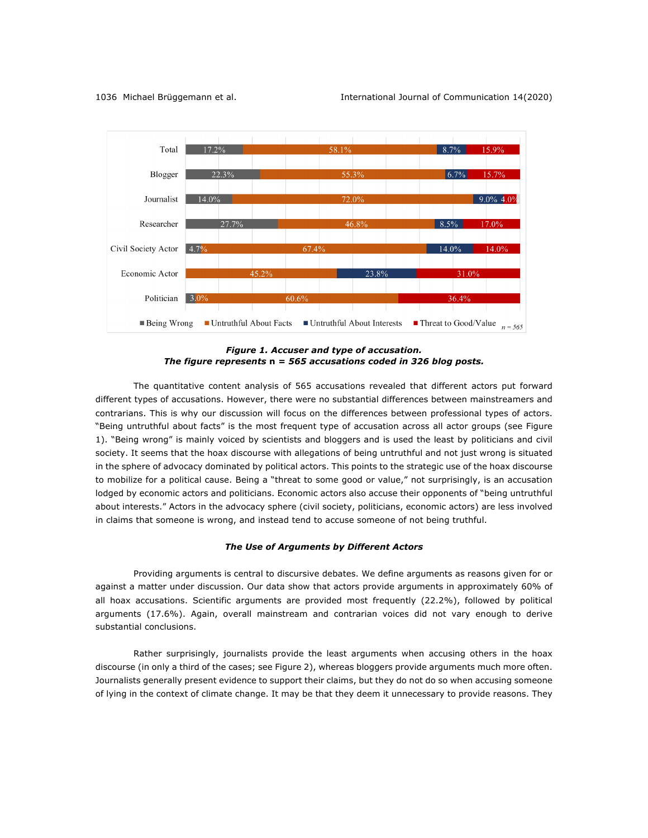

*Figure 1. Accuser and type of accusation. The figure represents* **n** *= 565 accusations coded in 326 blog posts.*

The quantitative content analysis of 565 accusations revealed that different actors put forward different types of accusations. However, there were no substantial differences between mainstreamers and contrarians. This is why our discussion will focus on the differences between professional types of actors. "Being untruthful about facts" is the most frequent type of accusation across all actor groups (see Figure 1). "Being wrong" is mainly voiced by scientists and bloggers and is used the least by politicians and civil society. It seems that the hoax discourse with allegations of being untruthful and not just wrong is situated in the sphere of advocacy dominated by political actors. This points to the strategic use of the hoax discourse to mobilize for a political cause. Being a "threat to some good or value," not surprisingly, is an accusation lodged by economic actors and politicians. Economic actors also accuse their opponents of "being untruthful about interests." Actors in the advocacy sphere (civil society, politicians, economic actors) are less involved in claims that someone is wrong, and instead tend to accuse someone of not being truthful.

## *The Use of Arguments by Different Actors*

Providing arguments is central to discursive debates. We define arguments as reasons given for or against a matter under discussion. Our data show that actors provide arguments in approximately 60% of all hoax accusations. Scientific arguments are provided most frequently (22.2%), followed by political arguments (17.6%). Again, overall mainstream and contrarian voices did not vary enough to derive substantial conclusions.

Rather surprisingly, journalists provide the least arguments when accusing others in the hoax discourse (in only a third of the cases; see Figure 2), whereas bloggers provide arguments much more often. Journalists generally present evidence to support their claims, but they do not do so when accusing someone of lying in the context of climate change. It may be that they deem it unnecessary to provide reasons. They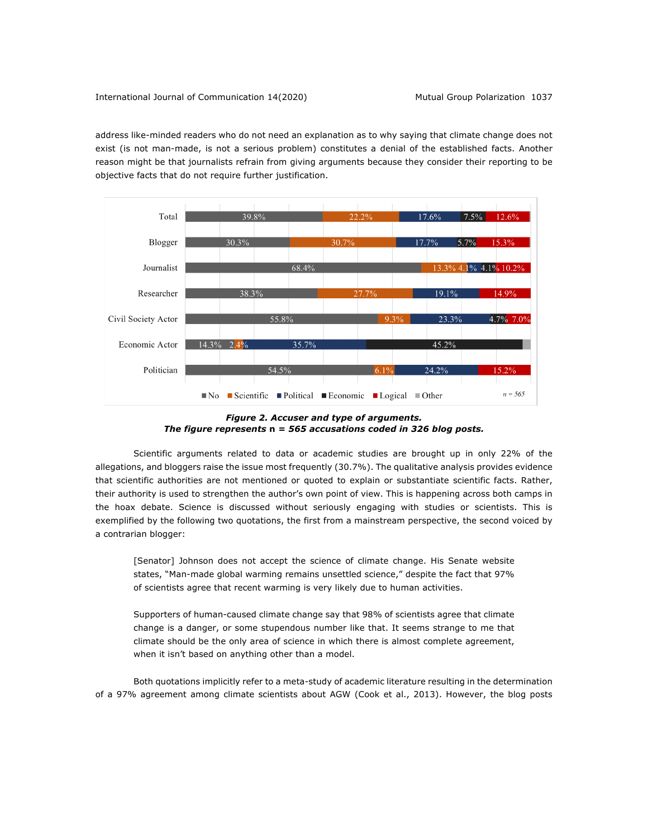address like-minded readers who do not need an explanation as to why saying that climate change does not exist (is not man-made, is not a serious problem) constitutes a denial of the established facts. Another reason might be that journalists refrain from giving arguments because they consider their reporting to be objective facts that do not require further justification.



*Figure 2. Accuser and type of arguments. The figure represents* **n** *= 565 accusations coded in 326 blog posts.*

Scientific arguments related to data or academic studies are brought up in only 22% of the allegations, and bloggers raise the issue most frequently (30.7%). The qualitative analysis provides evidence that scientific authorities are not mentioned or quoted to explain or substantiate scientific facts. Rather, their authority is used to strengthen the author's own point of view. This is happening across both camps in the hoax debate. Science is discussed without seriously engaging with studies or scientists. This is exemplified by the following two quotations, the first from a mainstream perspective, the second voiced by a contrarian blogger:

[Senator] Johnson does not accept the science of climate change. His Senate website states, "Man-made global warming remains unsettled science," despite the fact that 97% of scientists agree that recent warming is very likely due to human activities.

Supporters of human-caused climate change say that 98% of scientists agree that climate change is a danger, or some stupendous number like that. It seems strange to me that climate should be the only area of science in which there is almost complete agreement, when it isn't based on anything other than a model.

Both quotations implicitly refer to a meta-study of academic literature resulting in the determination of a 97% agreement among climate scientists about AGW (Cook et al., 2013). However, the blog posts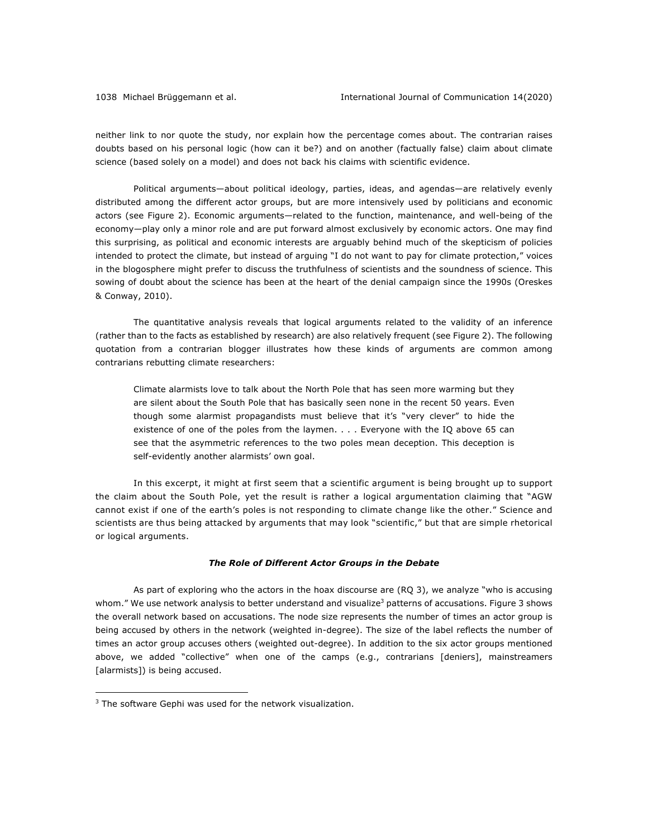neither link to nor quote the study, nor explain how the percentage comes about. The contrarian raises doubts based on his personal logic (how can it be?) and on another (factually false) claim about climate science (based solely on a model) and does not back his claims with scientific evidence.

Political arguments—about political ideology, parties, ideas, and agendas—are relatively evenly distributed among the different actor groups, but are more intensively used by politicians and economic actors (see Figure 2). Economic arguments—related to the function, maintenance, and well-being of the economy—play only a minor role and are put forward almost exclusively by economic actors. One may find this surprising, as political and economic interests are arguably behind much of the skepticism of policies intended to protect the climate, but instead of arguing "I do not want to pay for climate protection," voices in the blogosphere might prefer to discuss the truthfulness of scientists and the soundness of science. This sowing of doubt about the science has been at the heart of the denial campaign since the 1990s (Oreskes & Conway, 2010).

The quantitative analysis reveals that logical arguments related to the validity of an inference (rather than to the facts as established by research) are also relatively frequent (see Figure 2). The following quotation from a contrarian blogger illustrates how these kinds of arguments are common among contrarians rebutting climate researchers:

Climate alarmists love to talk about the North Pole that has seen more warming but they are silent about the South Pole that has basically seen none in the recent 50 years. Even though some alarmist propagandists must believe that it's "very clever" to hide the existence of one of the poles from the laymen. . . . Everyone with the IQ above 65 can see that the asymmetric references to the two poles mean deception. This deception is self-evidently another alarmists' own goal.

In this excerpt, it might at first seem that a scientific argument is being brought up to support the claim about the South Pole, yet the result is rather a logical argumentation claiming that "AGW cannot exist if one of the earth's poles is not responding to climate change like the other." Science and scientists are thus being attacked by arguments that may look "scientific," but that are simple rhetorical or logical arguments.

### *The Role of Different Actor Groups in the Debate*

As part of exploring who the actors in the hoax discourse are (RQ 3), we analyze "who is accusing whom." We use network analysis to better understand and visualize<sup>3</sup> patterns of accusations. Figure 3 shows the overall network based on accusations. The node size represents the number of times an actor group is being accused by others in the network (weighted in-degree). The size of the label reflects the number of times an actor group accuses others (weighted out-degree). In addition to the six actor groups mentioned above, we added "collective" when one of the camps (e.g., contrarians [deniers], mainstreamers [alarmists]) is being accused.

 $3$  The software Gephi was used for the network visualization.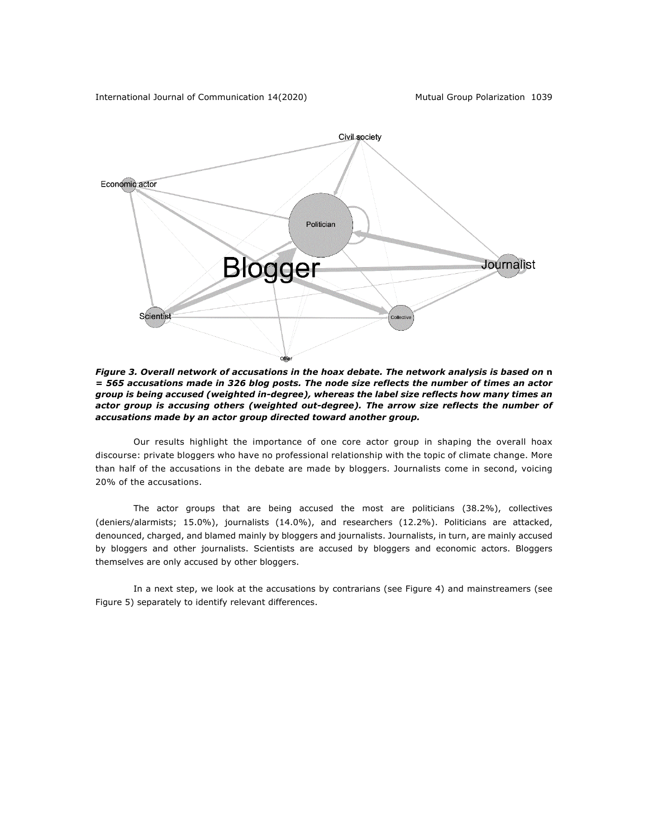

*Figure 3. Overall network of accusations in the hoax debate. The network analysis is based on* **n** *= 565 accusations made in 326 blog posts. The node size reflects the number of times an actor group is being accused (weighted in-degree), whereas the label size reflects how many times an*  actor group is accusing others (weighted out-degree). The arrow size reflects the number of *accusations made by an actor group directed toward another group.*

Our results highlight the importance of one core actor group in shaping the overall hoax discourse: private bloggers who have no professional relationship with the topic of climate change. More than half of the accusations in the debate are made by bloggers. Journalists come in second, voicing 20% of the accusations.

The actor groups that are being accused the most are politicians (38.2%), collectives (deniers/alarmists; 15.0%), journalists (14.0%), and researchers (12.2%). Politicians are attacked, denounced, charged, and blamed mainly by bloggers and journalists. Journalists, in turn, are mainly accused by bloggers and other journalists. Scientists are accused by bloggers and economic actors. Bloggers themselves are only accused by other bloggers.

In a next step, we look at the accusations by contrarians (see Figure 4) and mainstreamers (see Figure 5) separately to identify relevant differences.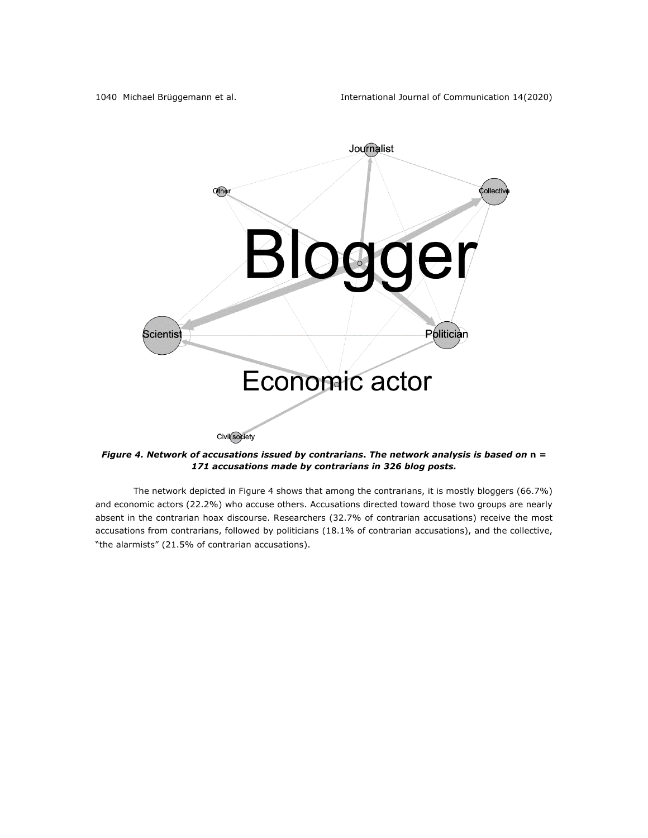

*Figure 4. Network of accusations issued by contrarians***.** *The network analysis is based on* **n** *= 171 accusations made by contrarians in 326 blog posts.*

The network depicted in Figure 4 shows that among the contrarians, it is mostly bloggers (66.7%) and economic actors (22.2%) who accuse others. Accusations directed toward those two groups are nearly absent in the contrarian hoax discourse. Researchers (32.7% of contrarian accusations) receive the most accusations from contrarians, followed by politicians (18.1% of contrarian accusations), and the collective, "the alarmists" (21.5% of contrarian accusations).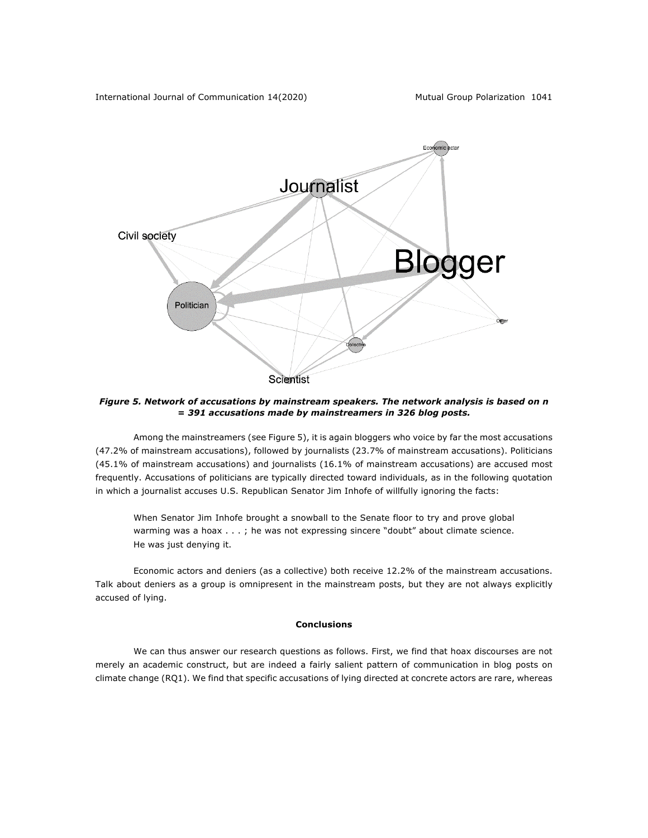

*Figure 5. Network of accusations by mainstream speakers. The network analysis is based on n = 391 accusations made by mainstreamers in 326 blog posts.*

Among the mainstreamers (see Figure 5), it is again bloggers who voice by far the most accusations (47.2% of mainstream accusations), followed by journalists (23.7% of mainstream accusations). Politicians (45.1% of mainstream accusations) and journalists (16.1% of mainstream accusations) are accused most frequently. Accusations of politicians are typically directed toward individuals, as in the following quotation in which a journalist accuses U.S. Republican Senator Jim Inhofe of willfully ignoring the facts:

When Senator Jim Inhofe brought a snowball to the Senate floor to try and prove global warming was a hoax . . . ; he was not expressing sincere "doubt" about climate science. He was just denying it.

Economic actors and deniers (as a collective) both receive 12.2% of the mainstream accusations. Talk about deniers as a group is omnipresent in the mainstream posts, but they are not always explicitly accused of lying.

# **Conclusions**

We can thus answer our research questions as follows. First, we find that hoax discourses are not merely an academic construct, but are indeed a fairly salient pattern of communication in blog posts on climate change (RQ1). We find that specific accusations of lying directed at concrete actors are rare, whereas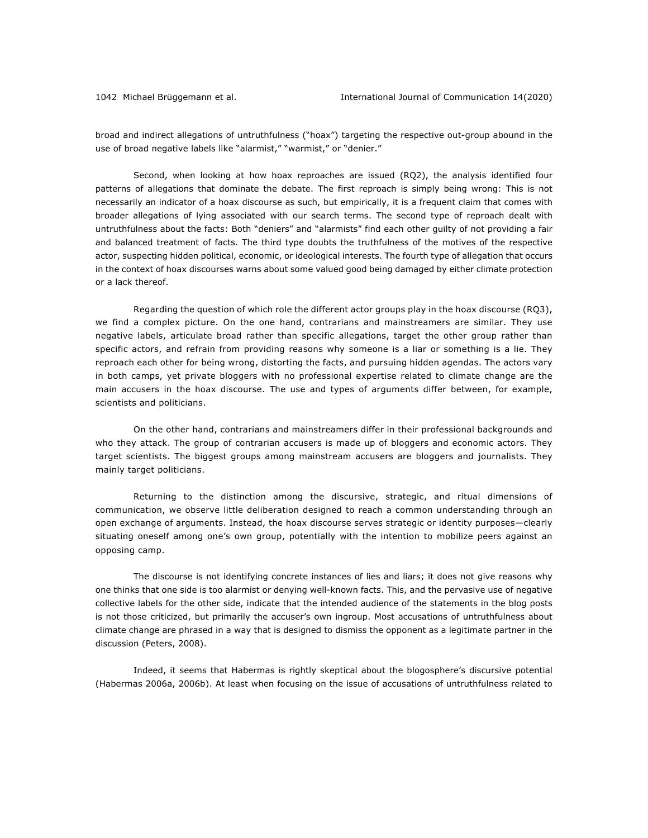broad and indirect allegations of untruthfulness ("hoax") targeting the respective out-group abound in the use of broad negative labels like "alarmist," "warmist," or "denier."

Second, when looking at how hoax reproaches are issued (RQ2), the analysis identified four patterns of allegations that dominate the debate. The first reproach is simply being wrong: This is not necessarily an indicator of a hoax discourse as such, but empirically, it is a frequent claim that comes with broader allegations of lying associated with our search terms. The second type of reproach dealt with untruthfulness about the facts: Both "deniers" and "alarmists" find each other guilty of not providing a fair and balanced treatment of facts. The third type doubts the truthfulness of the motives of the respective actor, suspecting hidden political, economic, or ideological interests. The fourth type of allegation that occurs in the context of hoax discourses warns about some valued good being damaged by either climate protection or a lack thereof.

Regarding the question of which role the different actor groups play in the hoax discourse (RQ3), we find a complex picture. On the one hand, contrarians and mainstreamers are similar. They use negative labels, articulate broad rather than specific allegations, target the other group rather than specific actors, and refrain from providing reasons why someone is a liar or something is a lie. They reproach each other for being wrong, distorting the facts, and pursuing hidden agendas. The actors vary in both camps, yet private bloggers with no professional expertise related to climate change are the main accusers in the hoax discourse. The use and types of arguments differ between, for example, scientists and politicians.

On the other hand, contrarians and mainstreamers differ in their professional backgrounds and who they attack. The group of contrarian accusers is made up of bloggers and economic actors. They target scientists. The biggest groups among mainstream accusers are bloggers and journalists. They mainly target politicians.

Returning to the distinction among the discursive, strategic, and ritual dimensions of communication, we observe little deliberation designed to reach a common understanding through an open exchange of arguments. Instead, the hoax discourse serves strategic or identity purposes—clearly situating oneself among one's own group, potentially with the intention to mobilize peers against an opposing camp.

The discourse is not identifying concrete instances of lies and liars; it does not give reasons why one thinks that one side is too alarmist or denying well-known facts. This, and the pervasive use of negative collective labels for the other side, indicate that the intended audience of the statements in the blog posts is not those criticized, but primarily the accuser's own ingroup. Most accusations of untruthfulness about climate change are phrased in a way that is designed to dismiss the opponent as a legitimate partner in the discussion (Peters, 2008).

Indeed, it seems that Habermas is rightly skeptical about the blogosphere's discursive potential (Habermas 2006a, 2006b). At least when focusing on the issue of accusations of untruthfulness related to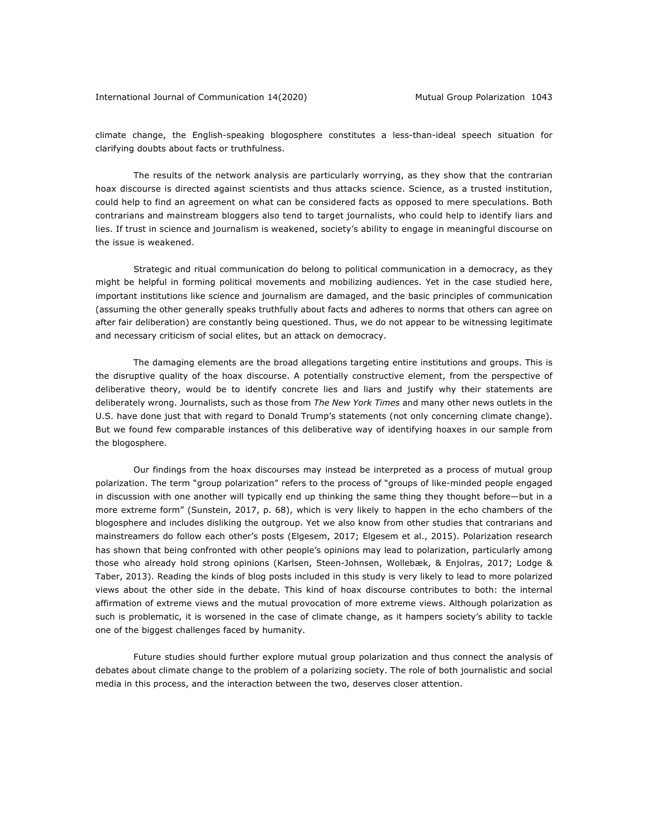climate change, the English-speaking blogosphere constitutes a less-than-ideal speech situation for clarifying doubts about facts or truthfulness.

The results of the network analysis are particularly worrying, as they show that the contrarian hoax discourse is directed against scientists and thus attacks science. Science, as a trusted institution, could help to find an agreement on what can be considered facts as opposed to mere speculations. Both contrarians and mainstream bloggers also tend to target journalists, who could help to identify liars and lies. If trust in science and journalism is weakened, society's ability to engage in meaningful discourse on the issue is weakened.

Strategic and ritual communication do belong to political communication in a democracy, as they might be helpful in forming political movements and mobilizing audiences. Yet in the case studied here, important institutions like science and journalism are damaged, and the basic principles of communication (assuming the other generally speaks truthfully about facts and adheres to norms that others can agree on after fair deliberation) are constantly being questioned. Thus, we do not appear to be witnessing legitimate and necessary criticism of social elites, but an attack on democracy.

The damaging elements are the broad allegations targeting entire institutions and groups. This is the disruptive quality of the hoax discourse. A potentially constructive element, from the perspective of deliberative theory, would be to identify concrete lies and liars and justify why their statements are deliberately wrong. Journalists, such as those from *The New York Times* and many other news outlets in the U.S. have done just that with regard to Donald Trump's statements (not only concerning climate change). But we found few comparable instances of this deliberative way of identifying hoaxes in our sample from the blogosphere.

Our findings from the hoax discourses may instead be interpreted as a process of mutual group polarization. The term "group polarization" refers to the process of "groups of like-minded people engaged in discussion with one another will typically end up thinking the same thing they thought before—but in a more extreme form" (Sunstein, 2017, p. 68), which is very likely to happen in the echo chambers of the blogosphere and includes disliking the outgroup. Yet we also know from other studies that contrarians and mainstreamers do follow each other's posts (Elgesem, 2017; Elgesem et al., 2015). Polarization research has shown that being confronted with other people's opinions may lead to polarization, particularly among those who already hold strong opinions (Karlsen, Steen-Johnsen, Wollebæk, & Enjolras, 2017; Lodge & Taber, 2013). Reading the kinds of blog posts included in this study is very likely to lead to more polarized views about the other side in the debate. This kind of hoax discourse contributes to both: the internal affirmation of extreme views and the mutual provocation of more extreme views. Although polarization as such is problematic, it is worsened in the case of climate change, as it hampers society's ability to tackle one of the biggest challenges faced by humanity.

Future studies should further explore mutual group polarization and thus connect the analysis of debates about climate change to the problem of a polarizing society. The role of both journalistic and social media in this process, and the interaction between the two, deserves closer attention.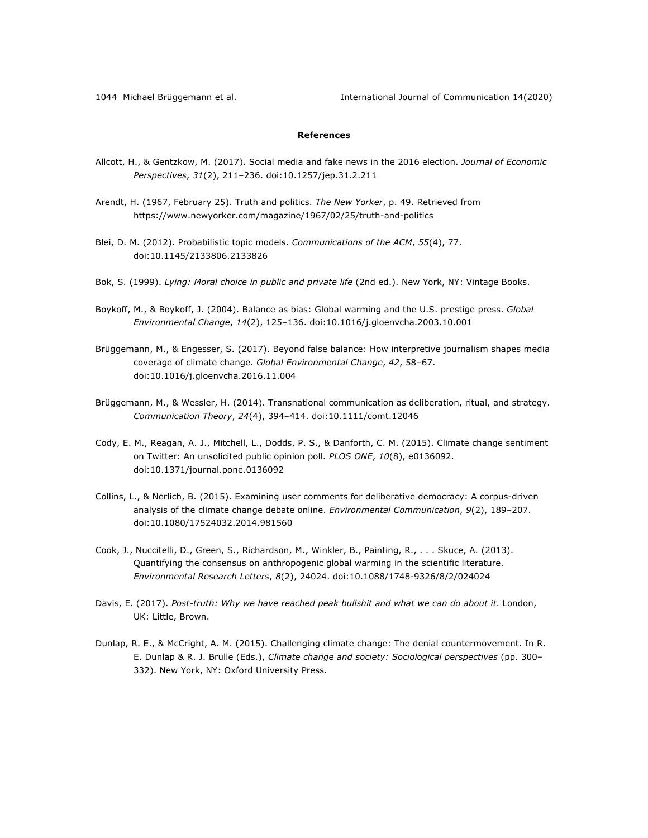1044 Michael Brüggemann et al. International Journal of Communication 14(2020)

# **References**

- Allcott, H., & Gentzkow, M. (2017). Social media and fake news in the 2016 election. *Journal of Economic Perspectives*, *31*(2), 211–236. doi:10.1257/jep.31.2.211
- Arendt, H. (1967, February 25). Truth and politics. *The New Yorker*, p. 49. Retrieved from https://www.newyorker.com/magazine/1967/02/25/truth-and-politics
- Blei, D. M. (2012). Probabilistic topic models. *Communications of the ACM*, *55*(4), 77. doi:10.1145/2133806.2133826
- Bok, S. (1999). *Lying: Moral choice in public and private life* (2nd ed.). New York, NY: Vintage Books.
- Boykoff, M., & Boykoff, J. (2004). Balance as bias: Global warming and the U.S. prestige press. *Global Environmental Change*, *14*(2), 125–136. doi:10.1016/j.gloenvcha.2003.10.001
- Brüggemann, M., & Engesser, S. (2017). Beyond false balance: How interpretive journalism shapes media coverage of climate change. *Global Environmental Change*, *42*, 58–67. doi:10.1016/j.gloenvcha.2016.11.004
- Brüggemann, M., & Wessler, H. (2014). Transnational communication as deliberation, ritual, and strategy. *Communication Theory*, *24*(4), 394–414. doi:10.1111/comt.12046
- Cody, E. M., Reagan, A. J., Mitchell, L., Dodds, P. S., & Danforth, C. M. (2015). Climate change sentiment on Twitter: An unsolicited public opinion poll. *PLOS ONE*, *10*(8), e0136092. doi:10.1371/journal.pone.0136092
- Collins, L., & Nerlich, B. (2015). Examining user comments for deliberative democracy: A corpus-driven analysis of the climate change debate online. *Environmental Communication*, *9*(2), 189–207. doi:10.1080/17524032.2014.981560
- Cook, J., Nuccitelli, D., Green, S., Richardson, M., Winkler, B., Painting, R., . . . Skuce, A. (2013). Quantifying the consensus on anthropogenic global warming in the scientific literature. *Environmental Research Letters*, *8*(2), 24024. doi:10.1088/1748-9326/8/2/024024
- Davis, E. (2017). *Post-truth: Why we have reached peak bullshit and what we can do about it*. London, UK: Little, Brown.
- Dunlap, R. E., & McCright, A. M. (2015). Challenging climate change: The denial countermovement. In R. E. Dunlap & R. J. Brulle (Eds.), *Climate change and society: Sociological perspectives* (pp. 300– 332). New York, NY: Oxford University Press.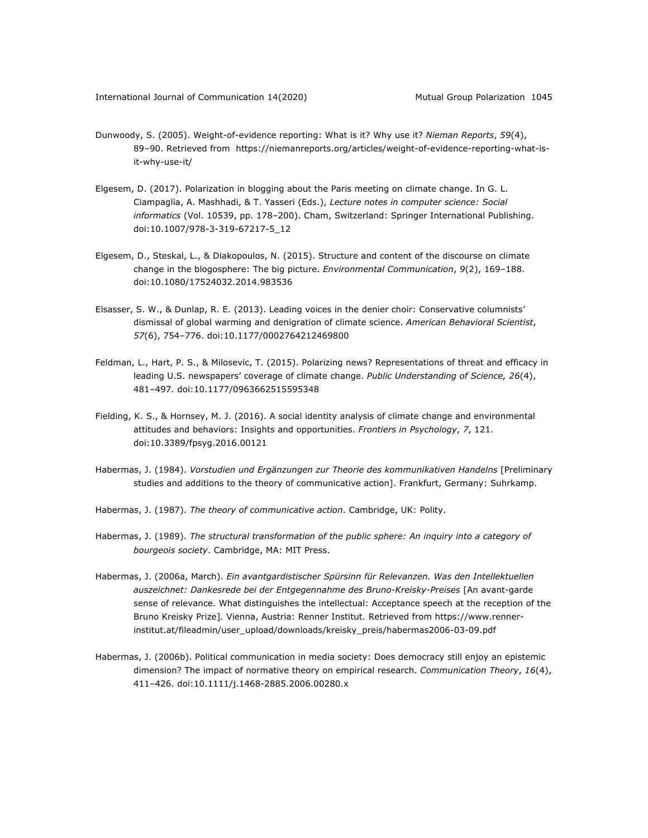- Dunwoody, S. (2005). Weight-of-evidence reporting: What is it? Why use it? *Nieman Reports*, *59*(4), 89–90. Retrieved from https://niemanreports.org/articles/weight-of-evidence-reporting-what-isit-why-use-it/
- Elgesem, D. (2017). Polarization in blogging about the Paris meeting on climate change. In G. L. Ciampaglia, A. Mashhadi, & T. Yasseri (Eds.), *Lecture notes in computer science: Social informatics* (Vol. 10539, pp. 178–200). Cham, Switzerland: Springer International Publishing. doi:10.1007/978-3-319-67217-5\_12
- Elgesem, D., Steskal, L., & Diakopoulos, N. (2015). Structure and content of the discourse on climate change in the blogosphere: The big picture. *Environmental Communication*, *9*(2), 169–188. doi:10.1080/17524032.2014.983536
- Elsasser, S. W., & Dunlap, R. E. (2013). Leading voices in the denier choir: Conservative columnists' dismissal of global warming and denigration of climate science. *American Behavioral Scientist*, *57*(6), 754–776. doi:10.1177/0002764212469800
- Feldman, L., Hart, P. S., & Milosevic, T. (2015). Polarizing news? Representations of threat and efficacy in leading U.S. newspapers' coverage of climate change. *Public Understanding of Science, 26*(4), 481–497. doi:10.1177/0963662515595348
- Fielding, K. S., & Hornsey, M. J. (2016). A social identity analysis of climate change and environmental attitudes and behaviors: Insights and opportunities. *Frontiers in Psychology*, *7*, 121. doi:10.3389/fpsyg.2016.00121
- Habermas, J. (1984). *Vorstudien und Ergänzungen zur Theorie des kommunikativen Handelns* [Preliminary studies and additions to the theory of communicative action]. Frankfurt, Germany: Suhrkamp.
- Habermas, J. (1987). *The theory of communicative action*. Cambridge, UK: Polity.
- Habermas, J. (1989). *The structural transformation of the public sphere: An inquiry into a category of bourgeois society*. Cambridge, MA: MIT Press.
- Habermas, J. (2006a, March). *Ein avantgardistischer Spürsinn für Relevanzen. Was den Intellektuellen*  auszeichnet: Dankesrede bei der Entgegennahme des Bruno-Kreisky-Preises [An avant-garde sense of relevance. What distinguishes the intellectual: Acceptance speech at the reception of the Bruno Kreisky Prize]*.* Vienna, Austria: Renner Institut. Retrieved from https://www.rennerinstitut.at/fileadmin/user\_upload/downloads/kreisky\_preis/habermas2006-03-09.pdf
- Habermas, J. (2006b). Political communication in media society: Does democracy still enjoy an epistemic dimension? The impact of normative theory on empirical research. *Communication Theory*, *16*(4), 411–426. doi:10.1111/j.1468-2885.2006.00280.x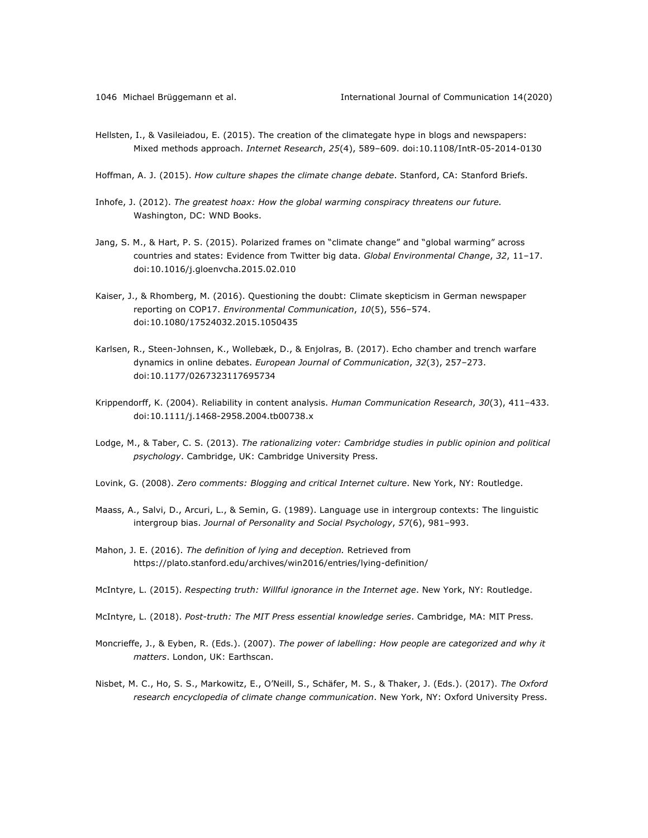- Hellsten, I., & Vasileiadou, E. (2015). The creation of the climategate hype in blogs and newspapers: Mixed methods approach. *Internet Research*, *25*(4), 589–609. doi:10.1108/IntR-05-2014-0130
- Hoffman, A. J. (2015). *How culture shapes the climate change debate*. Stanford, CA: Stanford Briefs.
- Inhofe, J. (2012). *The greatest hoax: How the global warming conspiracy threatens our future.* Washington, DC: WND Books.
- Jang, S. M., & Hart, P. S. (2015). Polarized frames on "climate change" and "global warming" across countries and states: Evidence from Twitter big data. *Global Environmental Change*, *32*, 11–17. doi:10.1016/j.gloenvcha.2015.02.010
- Kaiser, J., & Rhomberg, M. (2016). Questioning the doubt: Climate skepticism in German newspaper reporting on COP17. *Environmental Communication*, *10*(5), 556–574. doi:10.1080/17524032.2015.1050435
- Karlsen, R., Steen-Johnsen, K., Wollebæk, D., & Enjolras, B. (2017). Echo chamber and trench warfare dynamics in online debates. *European Journal of Communication*, *32*(3), 257–273. doi:10.1177/0267323117695734
- Krippendorff, K. (2004). Reliability in content analysis. *Human Communication Research*, *30*(3), 411–433. doi:10.1111/j.1468-2958.2004.tb00738.x
- Lodge, M., & Taber, C. S. (2013). *The rationalizing voter: Cambridge studies in public opinion and political psychology*. Cambridge, UK: Cambridge University Press.
- Lovink, G. (2008). *Zero comments: Blogging and critical Internet culture*. New York, NY: Routledge.
- Maass, A., Salvi, D., Arcuri, L., & Semin, G. (1989). Language use in intergroup contexts: The linguistic intergroup bias. *Journal of Personality and Social Psychology*, *57*(6), 981–993.
- Mahon, J. E. (2016). *The definition of lying and deception.* Retrieved from https://plato.stanford.edu/archives/win2016/entries/lying-definition/
- McIntyre, L. (2015). *Respecting truth: Willful ignorance in the Internet age*. New York, NY: Routledge.
- McIntyre, L. (2018). *Post-truth: The MIT Press essential knowledge series*. Cambridge, MA: MIT Press.
- Moncrieffe, J., & Eyben, R. (Eds.). (2007). *The power of labelling: How people are categorized and why it matters*. London, UK: Earthscan.
- Nisbet, M. C., Ho, S. S., Markowitz, E., O'Neill, S., Schäfer, M. S., & Thaker, J. (Eds.). (2017). *The Oxford research encyclopedia of climate change communication*. New York, NY: Oxford University Press.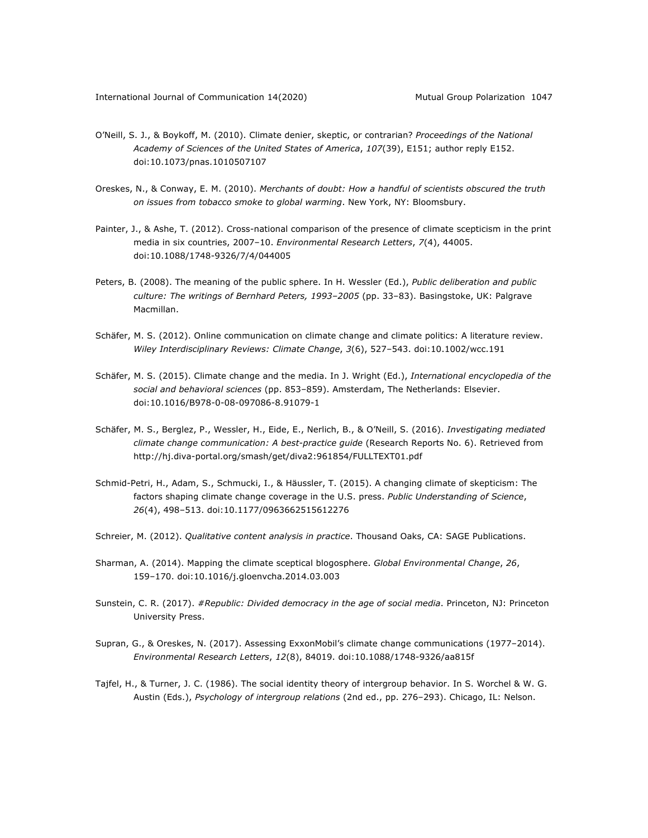- O'Neill, S. J., & Boykoff, M. (2010). Climate denier, skeptic, or contrarian? *Proceedings of the National Academy of Sciences of the United States of America*, *107*(39), E151; author reply E152. doi:10.1073/pnas.1010507107
- Oreskes, N., & Conway, E. M. (2010). *Merchants of doubt: How a handful of scientists obscured the truth on issues from tobacco smoke to global warming*. New York, NY: Bloomsbury.
- Painter, J., & Ashe, T. (2012). Cross-national comparison of the presence of climate scepticism in the print media in six countries, 2007–10. *Environmental Research Letters*, *7*(4), 44005. doi:10.1088/1748-9326/7/4/044005
- Peters, B. (2008). The meaning of the public sphere. In H. Wessler (Ed.), *Public deliberation and public culture: The writings of Bernhard Peters, 1993–2005* (pp. 33–83). Basingstoke, UK: Palgrave Macmillan.
- Schäfer, M. S. (2012). Online communication on climate change and climate politics: A literature review. *Wiley Interdisciplinary Reviews: Climate Change*, *3*(6), 527–543. doi:10.1002/wcc.191
- Schäfer, M. S. (2015). Climate change and the media. In J. Wright (Ed.), *International encyclopedia of the social and behavioral sciences* (pp. 853–859). Amsterdam, The Netherlands: Elsevier. doi:10.1016/B978-0-08-097086-8.91079-1
- Schäfer, M. S., Berglez, P., Wessler, H., Eide, E., Nerlich, B., & O'Neill, S. (2016). *Investigating mediated climate change communication: A best-practice guide* (Research Reports No. 6). Retrieved from http://hj.diva-portal.org/smash/get/diva2:961854/FULLTEXT01.pdf
- Schmid-Petri, H., Adam, S., Schmucki, I., & Häussler, T. (2015). A changing climate of skepticism: The factors shaping climate change coverage in the U.S. press. *Public Understanding of Science*, *26*(4), 498–513. doi:10.1177/0963662515612276
- Schreier, M. (2012). *Qualitative content analysis in practice*. Thousand Oaks, CA: SAGE Publications.
- Sharman, A. (2014). Mapping the climate sceptical blogosphere. *Global Environmental Change*, *26*, 159–170. doi:10.1016/j.gloenvcha.2014.03.003
- Sunstein, C. R. (2017). *#Republic: Divided democracy in the age of social media*. Princeton, NJ: Princeton University Press.
- Supran, G., & Oreskes, N. (2017). Assessing ExxonMobil's climate change communications (1977–2014). *Environmental Research Letters*, *12*(8), 84019. doi:10.1088/1748-9326/aa815f
- Tajfel, H., & Turner, J. C. (1986). The social identity theory of intergroup behavior. In S. Worchel & W. G. Austin (Eds.), *Psychology of intergroup relations* (2nd ed., pp. 276–293). Chicago, IL: Nelson.